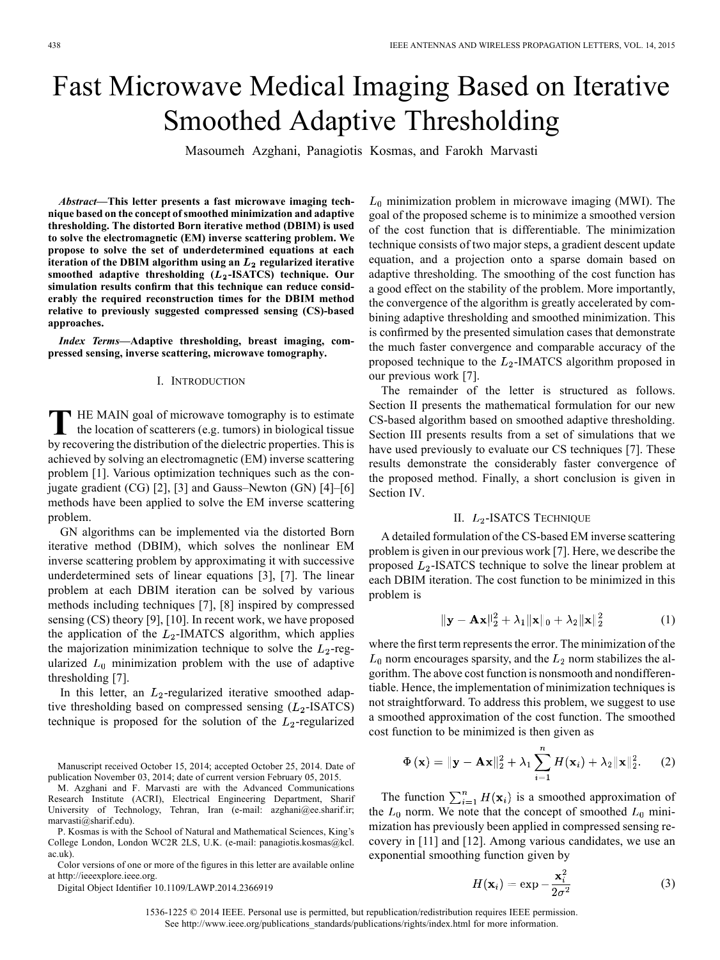# Fast Microwave Medical Imaging Based on Iterative Smoothed Adaptive Thresholding

Masoumeh Azghani, Panagiotis Kosmas, and Farokh Marvasti

*Abstract—***This letter presents a fast microwave imaging technique based on the concept of smoothed minimization and adaptive thresholding. The distorted Born iterative method (DBIM) is used to solve the electromagnetic (EM) inverse scattering problem. We propose to solve the set of underdetermined equations at each** iteration of the DBIM algorithm using an  $L_2$  regularized iterative smoothed adaptive thresholding ( $L_2$ -ISATCS) technique. Our **simulation results confirm that this technique can reduce considerably the required reconstruction times for the DBIM method relative to previously suggested compressed sensing (CS)-based approaches.**

*Index Terms—***Adaptive thresholding, breast imaging, compressed sensing, inverse scattering, microwave tomography.**

### I. INTRODUCTION

**T** HE MAIN goal of microwave tomography is to estimate the location of scatterers (e.g. tumors) in biological tissue by recovering the distribution of the dielectric properties. This is achieved by solving an electromagnetic (EM) inverse scattering problem [1]. Various optimization techniques such as the conjugate gradient (CG) [2], [3] and Gauss–Newton (GN) [4]–[6] methods have been applied to solve the EM inverse scattering problem.

GN algorithms can be implemented via the distorted Born iterative method (DBIM), which solves the nonlinear EM inverse scattering problem by approximating it with successive underdetermined sets of linear equations [3], [7]. The linear problem at each DBIM iteration can be solved by various methods including techniques [7], [8] inspired by compressed sensing (CS) theory [9], [10]. In recent work, we have proposed the application of the  $L_2$ -IMATCS algorithm, which applies the majorization minimization technique to solve the  $L_2$ -regularized  $L_0$  minimization problem with the use of adaptive thresholding [7].

In this letter, an  $L_2$ -regularized iterative smoothed adaptive thresholding based on compressed sensing  $(L_2$ -ISATCS) technique is proposed for the solution of the  $L_2$ -regularized

Manuscript received October 15, 2014; accepted October 25, 2014. Date of publication November 03, 2014; date of current version February 05, 2015.

M. Azghani and F. Marvasti are with the Advanced Communications Research Institute (ACRI), Electrical Engineering Department, Sharif University of Technology, Tehran, Iran (e-mail: azghani@ee.sharif.ir; marvasti@sharif.edu).

P. Kosmas is with the School of Natural and Mathematical Sciences, King's College London, London WC2R 2LS, U.K. (e-mail: panagiotis.kosmas@kcl. ac.uk).

Color versions of one or more of the figures in this letter are available online at http://ieeexplore.ieee.org.

Digital Object Identifier 10.1109/LAWP.2014.2366919

 $L_0$  minimization problem in microwave imaging (MWI). The goal of the proposed scheme is to minimize a smoothed version of the cost function that is differentiable. The minimization technique consists of two major steps, a gradient descent update equation, and a projection onto a sparse domain based on adaptive thresholding. The smoothing of the cost function has a good effect on the stability of the problem. More importantly, the convergence of the algorithm is greatly accelerated by combining adaptive thresholding and smoothed minimization. This is confirmed by the presented simulation cases that demonstrate the much faster convergence and comparable accuracy of the proposed technique to the  $L_2$ -IMATCS algorithm proposed in our previous work [7].

The remainder of the letter is structured as follows. Section II presents the mathematical formulation for our new CS-based algorithm based on smoothed adaptive thresholding. Section III presents results from a set of simulations that we have used previously to evaluate our CS techniques [7]. These results demonstrate the considerably faster convergence of the proposed method. Finally, a short conclusion is given in Section IV.

### II.  $L_2$ -ISATCS TECHNIQUE

A detailed formulation of the CS-based EM inverse scattering problem is given in our previous work [7]. Here, we describe the proposed  $L_2$ -ISATCS technique to solve the linear problem at each DBIM iteration. The cost function to be minimized in this problem is

$$
\|\mathbf{y} - \mathbf{A}\mathbf{x}\|_2^2 + \lambda_1 \|\mathbf{x}\|_0 + \lambda_2 \|\mathbf{x}\|_2^2 \tag{1}
$$

where the first term represents the error. The minimization of the  $L_0$  norm encourages sparsity, and the  $L_2$  norm stabilizes the algorithm. The above cost function is nonsmooth and nondifferentiable. Hence, the implementation of minimization techniques is not straightforward. To address this problem, we suggest to use a smoothed approximation of the cost function. The smoothed cost function to be minimized is then given as

$$
\Phi(\mathbf{x}) = \|\mathbf{y} - \mathbf{A}\mathbf{x}\|_2^2 + \lambda_1 \sum_{i=1}^n H(\mathbf{x}_i) + \lambda_2 \|\mathbf{x}\|_2^2.
$$
 (2)

The function  $\sum_{i=1}^{n} H(\mathbf{x}_i)$  is a smoothed approximation of the  $L_0$  norm. We note that the concept of smoothed  $L_0$  minimization has previously been applied in compressed sensing recovery in [11] and [12]. Among various candidates, we use an exponential smoothing function given by

$$
H(\mathbf{x}_i) = \exp -\frac{\mathbf{x}_i^2}{2\sigma^2}
$$
 (3)

1536-1225 © 2014 IEEE. Personal use is permitted, but republication/redistribution requires IEEE permission. See http://www.ieee.org/publications\_standards/publications/rights/index.html for more information.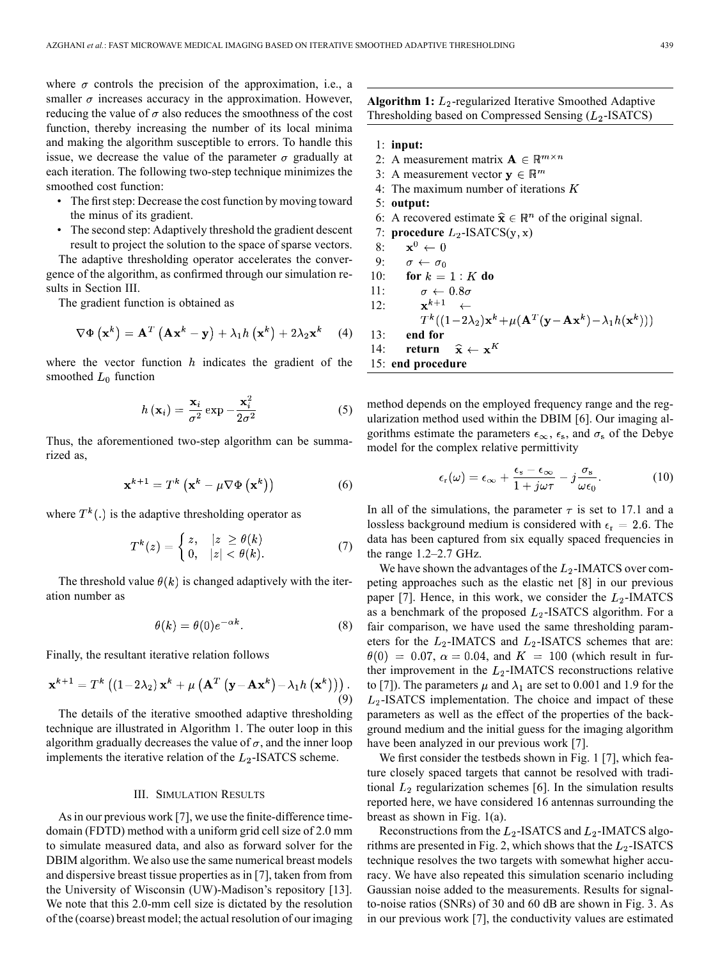where  $\sigma$  controls the precision of the approximation, i.e., a smaller  $\sigma$  increases accuracy in the approximation. However, reducing the value of  $\sigma$  also reduces the smoothness of the cost function, thereby increasing the number of its local minima and making the algorithm susceptible to errors. To handle this issue, we decrease the value of the parameter  $\sigma$  gradually at each iteration. The following two-step technique minimizes the smoothed cost function:

- The first step: Decrease the cost function by moving toward the minus of its gradient.
- The second step: Adaptively threshold the gradient descent result to project the solution to the space of sparse vectors.

The adaptive thresholding operator accelerates the convergence of the algorithm, as confirmed through our simulation results in Section III.

The gradient function is obtained as

$$
\nabla \Phi \left( \mathbf{x}^{k} \right) = \mathbf{A}^{T} \left( \mathbf{A} \mathbf{x}^{k} - \mathbf{y} \right) + \lambda_{1} h \left( \mathbf{x}^{k} \right) + 2 \lambda_{2} \mathbf{x}^{k} \quad (4)
$$

where the vector function  $h$  indicates the gradient of the smoothed  $L_0$  function

$$
h\left(\mathbf{x}_{i}\right) = \frac{\mathbf{x}_{i}}{\sigma^{2}} \exp{-\frac{\mathbf{x}_{i}^{2}}{2\sigma^{2}}}
$$
 (5)

Thus, the aforementioned two-step algorithm can be summarized as,

$$
\mathbf{x}^{k+1} = T^k \left( \mathbf{x}^k - \mu \nabla \Phi \left( \mathbf{x}^k \right) \right) \tag{6}
$$

where  $T^k(.)$  is the adaptive thresholding operator as

$$
T^{k}(z) = \begin{cases} z, & |z| \ge \theta(k) \\ 0, & |z| < \theta(k). \end{cases} \tag{7}
$$

The threshold value  $\theta(k)$  is changed adaptively with the iteration number as

$$
\theta(k) = \theta(0)e^{-\alpha k}.\tag{8}
$$

Finally, the resultant iterative relation follows

$$
\mathbf{x}^{k+1} = T^k \left( (1 - 2\lambda_2) \mathbf{x}^k + \mu \left( \mathbf{A}^T \left( \mathbf{y} - \mathbf{A} \mathbf{x}^k \right) - \lambda_1 h \left( \mathbf{x}^k \right) \right) \right). \tag{9}
$$

The details of the iterative smoothed adaptive thresholding technique are illustrated in Algorithm 1. The outer loop in this algorithm gradually decreases the value of  $\sigma$ , and the inner loop implements the iterative relation of the  $L_2$ -ISATCS scheme.

## III. SIMULATION RESULTS

As in our previous work [7], we use the finite-difference timedomain (FDTD) method with a uniform grid cell size of 2.0 mm to simulate measured data, and also as forward solver for the DBIM algorithm. We also use the same numerical breast models and dispersive breast tissue properties as in [7], taken from from the University of Wisconsin (UW)-Madison's repository [13]. We note that this 2.0-mm cell size is dictated by the resolution of the (coarse) breast model; the actual resolution of our imaging **Algorithm 1:**  $L_2$ -regularized Iterative Smoothed Adaptive Thresholding based on Compressed Sensing  $(L_2$ -ISATCS)

- 1: **input:**
- 2: A measurement matrix  $\mathbf{A} \in \mathbb{R}^{m \times n}$
- 3: A measurement vector  $y \in \mathbb{R}^m$
- 4: The maximum number of iterations  $K$
- 5: **output:**
- 6: A recovered estimate  $\hat{\mathbf{x}} \in \mathbb{R}^n$  of the original signal.
- 7: **procedure**  $L_2$ -ISATCS(y, x)
- 8:  $\mathbf{x}^0 \leftarrow 0$ 9:  $\sigma \leftarrow \sigma_0$ <br>10: **for**  $k = 1 \cdot K$  do 9:

$$
10: \quad \text{for } k = 1:K \text{ d}C
$$

11:  $\sigma\,\leftarrow\,0.8\sigma$ 

12: 
$$
\mathbf{x}^{k+1} \leftarrow
$$

$$
T^k((1-2\lambda_2)\mathbf{x}^k + \mu(\mathbf{A}^T(\mathbf{y}-\mathbf{A}\mathbf{x}^k) - \lambda_1 h(\mathbf{x}^k)))
$$

13: **end for** 14: **return**  $\hat{\mathbf{x}} \leftarrow \mathbf{x}^K$ 

15: **end procedure**

method depends on the employed frequency range and the regularization method used within the DBIM [6]. Our imaging algorithms estimate the parameters  $\epsilon_{\infty}$ ,  $\epsilon_{s}$ , and  $\sigma_{s}$  of the Debye

model for the complex relative permittivity

$$
\epsilon_{\rm r}(\omega) = \epsilon_{\infty} + \frac{\epsilon_{\rm s} - \epsilon_{\infty}}{1 + j\omega\tau} - j\frac{\sigma_{\rm s}}{\omega\epsilon_0}.
$$
 (10)

In all of the simulations, the parameter  $\tau$  is set to 17.1 and a lossless background medium is considered with  $\epsilon_r = 2.6$ . The data has been captured from six equally spaced frequencies in the range 1.2–2.7 GHz.

We have shown the advantages of the  $L_2$ -IMATCS over competing approaches such as the elastic net [8] in our previous paper [7]. Hence, in this work, we consider the  $L_2$ -IMATCS as a benchmark of the proposed  $L_2$ -ISATCS algorithm. For a fair comparison, we have used the same thresholding parameters for the  $L_2$ -IMATCS and  $L_2$ -ISATCS schemes that are:  $\theta(0) = 0.07$ ,  $\alpha = 0.04$ , and  $K = 100$  (which result in further improvement in the  $L_2$ -IMATCS reconstructions relative to [7]). The parameters  $\mu$  and  $\lambda_1$  are set to 0.001 and 1.9 for the  $L_2$ -ISATCS implementation. The choice and impact of these parameters as well as the effect of the properties of the background medium and the initial guess for the imaging algorithm have been analyzed in our previous work [7].

We first consider the testbeds shown in Fig. 1 [7], which feature closely spaced targets that cannot be resolved with traditional  $L_2$  regularization schemes [6]. In the simulation results reported here, we have considered 16 antennas surrounding the breast as shown in Fig. 1(a).

Reconstructions from the  $L_2$ -ISATCS and  $L_2$ -IMATCS algorithms are presented in Fig. 2, which shows that the  $L_2$ -ISATCS technique resolves the two targets with somewhat higher accuracy. We have also repeated this simulation scenario including Gaussian noise added to the measurements. Results for signalto-noise ratios (SNRs) of 30 and 60 dB are shown in Fig. 3. As in our previous work [7], the conductivity values are estimated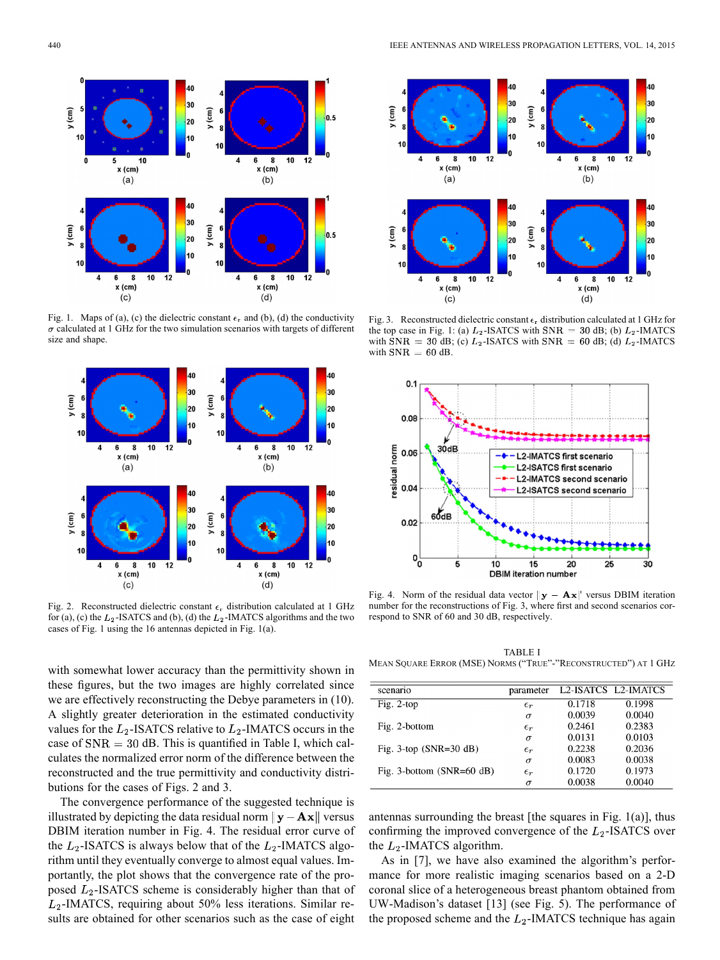

Fig. 1. Maps of (a), (c) the dielectric constant  $\epsilon_r$  and (b), (d) the conductivity  $\sigma$  calculated at 1 GHz for the two simulation scenarios with targets of different size and shape.



Fig. 2. Reconstructed dielectric constant  $\epsilon_r$  distribution calculated at 1 GHz for (a), (c) the  $L_2$ -ISATCS and (b), (d) the  $L_2$ -IMATCS algorithms and the two cases of Fig. 1 using the 16 antennas depicted in Fig. 1(a).

with somewhat lower accuracy than the permittivity shown in these figures, but the two images are highly correlated since we are effectively reconstructing the Debye parameters in (10). A slightly greater deterioration in the estimated conductivity values for the  $L_2$ -ISATCS relative to  $L_2$ -IMATCS occurs in the case of  $SNR = 30$  dB. This is quantified in Table I, which calculates the normalized error norm of the difference between the reconstructed and the true permittivity and conductivity distributions for the cases of Figs. 2 and 3.

The convergence performance of the suggested technique is illustrated by depicting the data residual norm  $\|\mathbf{y} - \mathbf{A}\mathbf{x}\|$  versus DBIM iteration number in Fig. 4. The residual error curve of the  $L_2$ -ISATCS is always below that of the  $L_2$ -IMATCS algorithm until they eventually converge to almost equal values. Importantly, the plot shows that the convergence rate of the proposed  $L_2$ -ISATCS scheme is considerably higher than that of  $L_2$ -IMATCS, requiring about 50% less iterations. Similar results are obtained for other scenarios such as the case of eight



Fig. 3. Reconstructed dielectric constant  $\epsilon_r$  distribution calculated at 1 GHz for the top case in Fig. 1: (a)  $L_2$ -ISATCS with SNR = 30 dB; (b)  $L_2$ -IMATCS with SNR = 30 dB; (c)  $L_2$ -ISATCS with SNR = 60 dB; (d)  $L_2$ -IMATCS with  $SNR = 60$  dB.



Fig. 4. Norm of the residual data vector  $\|\mathbf{y} - \mathbf{A}\mathbf{x}\|$  versus DBIM iteration number for the reconstructions of Fig. 3, where first and second scenarios correspond to SNR of 60 and 30 dB, respectively.

TABLE I MEAN SQUARE ERROR (MSE) NORMS ("TRUE"-"RECONSTRUCTED") AT 1 GHZ

| scenario                     | parameter    |        | L2-ISATCS L2-IMATCS |
|------------------------------|--------------|--------|---------------------|
| Fig. $2$ -top                | $\epsilon_r$ | 0.1718 | 0.1998              |
|                              | $\sigma$     | 0.0039 | 0.0040              |
| Fig. 2-bottom                | $\epsilon_r$ | 0.2461 | 0.2383              |
|                              | $\sigma$     | 0.0131 | 0.0103              |
| Fig. $3$ -top (SNR= $30$ dB) | $\epsilon_r$ | 0.2238 | 0.2036              |
|                              | $\sigma$     | 0.0083 | 0.0038              |
| Fig. 3-bottom $(SNR=60 dB)$  | $\epsilon_r$ | 0.1720 | 0.1973              |
|                              | $\sigma$     | 0.0038 | 0.0040              |

antennas surrounding the breast [the squares in Fig.  $1(a)$ ], thus confirming the improved convergence of the  $L_2$ -ISATCS over the  $L_2$ -IMATCS algorithm.

As in [7], we have also examined the algorithm's performance for more realistic imaging scenarios based on a 2-D coronal slice of a heterogeneous breast phantom obtained from UW-Madison's dataset [13] (see Fig. 5). The performance of the proposed scheme and the  $L_2$ -IMATCS technique has again